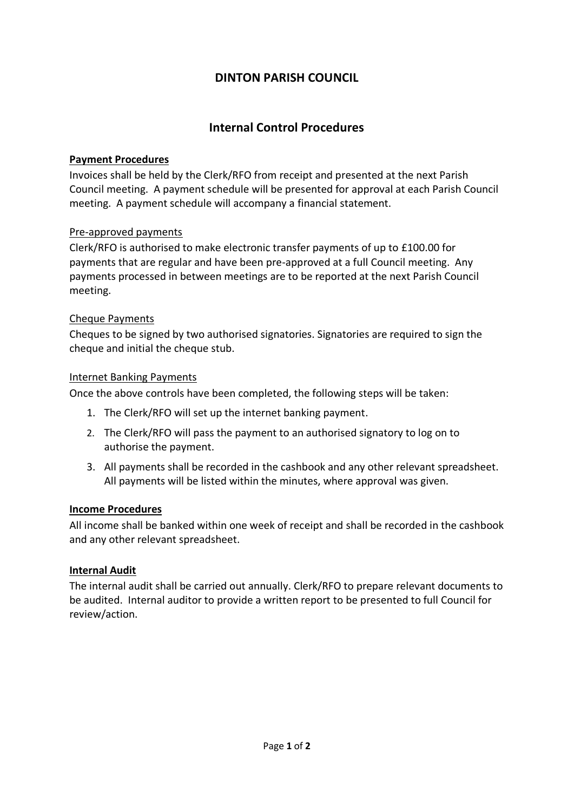# **DINTON PARISH COUNCIL**

# **Internal Control Procedures**

### **Payment Procedures**

Invoices shall be held by the Clerk/RFO from receipt and presented at the next Parish Council meeting. A payment schedule will be presented for approval at each Parish Council meeting. A payment schedule will accompany a financial statement.

### Pre-approved payments

Clerk/RFO is authorised to make electronic transfer payments of up to £100.00 for payments that are regular and have been pre-approved at a full Council meeting. Any payments processed in between meetings are to be reported at the next Parish Council meeting.

#### Cheque Payments

Cheques to be signed by two authorised signatories. Signatories are required to sign the cheque and initial the cheque stub.

#### Internet Banking Payments

Once the above controls have been completed, the following steps will be taken:

- 1. The Clerk/RFO will set up the internet banking payment.
- 2. The Clerk/RFO will pass the payment to an authorised signatory to log on to authorise the payment.
- 3. All payments shall be recorded in the cashbook and any other relevant spreadsheet. All payments will be listed within the minutes, where approval was given.

#### **Income Procedures**

All income shall be banked within one week of receipt and shall be recorded in the cashbook and any other relevant spreadsheet.

#### **Internal Audit**

The internal audit shall be carried out annually. Clerk/RFO to prepare relevant documents to be audited. Internal auditor to provide a written report to be presented to full Council for review/action.